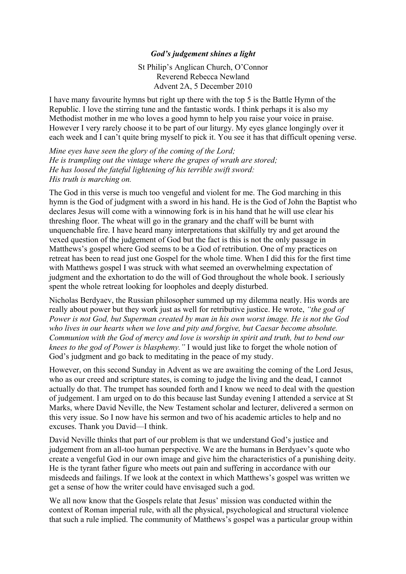## *God's judgement shines a light*

St Philip's Anglican Church, O'Connor Reverend Rebecca Newland Advent 2A, 5 December 2010

I have many favourite hymns but right up there with the top 5 is the Battle Hymn of the Republic. I love the stirring tune and the fantastic words. I think perhaps it is also my Methodist mother in me who loves a good hymn to help you raise your voice in praise. However I very rarely choose it to be part of our liturgy. My eyes glance longingly over it each week and I can't quite bring myself to pick it. You see it has that difficult opening verse.

*Mine eyes have seen the glory of the coming of the Lord; He is trampling out the vintage where the grapes of wrath are stored; He has loosed the fateful lightening of his terrible swift sword: His truth is marching on.*

The God in this verse is much too vengeful and violent for me. The God marching in this hymn is the God of judgment with a sword in his hand. He is the God of John the Baptist who declares Jesus will come with a winnowing fork is in his hand that he will use clear his threshing floor. The wheat will go in the granary and the chaff will be burnt with unquenchable fire. I have heard many interpretations that skilfully try and get around the vexed question of the judgement of God but the fact is this is not the only passage in Matthews's gospel where God seems to be a God of retribution. One of my practices on retreat has been to read just one Gospel for the whole time. When I did this for the first time with Matthews gospel I was struck with what seemed an overwhelming expectation of judgment and the exhortation to do the will of God throughout the whole book. I seriously spent the whole retreat looking for loopholes and deeply disturbed.

Nicholas Berdyaev, the Russian philosopher summed up my dilemma neatly. His words are really about power but they work just as well for retributive justice. He wrote, *"the god of Power is not God, but Superman created by man in his own worst image. He is not the God who lives in our hearts when we love and pity and forgive, but Caesar become absolute. Communion with the God of mercy and love is worship in spirit and truth, but to bend our knees to the god of Power is blasphemy."* I would just like to forget the whole notion of God's judgment and go back to meditating in the peace of my study.

However, on this second Sunday in Advent as we are awaiting the coming of the Lord Jesus, who as our creed and scripture states, is coming to judge the living and the dead, I cannot actually do that. The trumpet has sounded forth and I know we need to deal with the question of judgement. I am urged on to do this because last Sunday evening I attended a service at St Marks, where David Neville, the New Testament scholar and lecturer, delivered a sermon on this very issue. So I now have his sermon and two of his academic articles to help and no excuses. Thank you David—I think.

David Neville thinks that part of our problem is that we understand God's justice and judgement from an all-too human perspective. We are the humans in Berdyaev's quote who create a vengeful God in our own image and give him the characteristics of a punishing deity. He is the tyrant father figure who meets out pain and suffering in accordance with our misdeeds and failings. If we look at the context in which Matthews's gospel was written we get a sense of how the writer could have envisaged such a god.

We all now know that the Gospels relate that Jesus' mission was conducted within the context of Roman imperial rule, with all the physical, psychological and structural violence that such a rule implied. The community of Matthews's gospel was a particular group within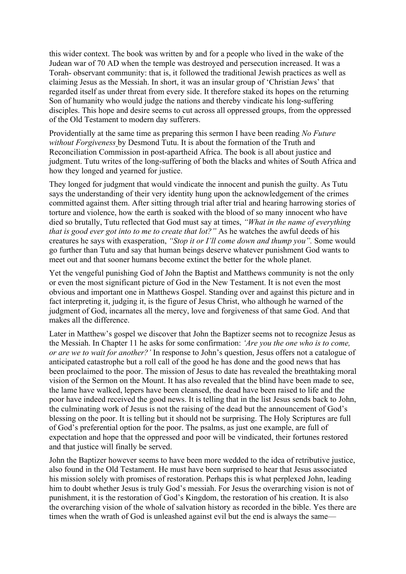this wider context. The book was written by and for a people who lived in the wake of the Judean war of 70 AD when the temple was destroyed and persecution increased. It was a Torah- observant community: that is, it followed the traditional Jewish practices as well as claiming Jesus as the Messiah. In short, it was an insular group of 'Christian Jews' that regarded itself as under threat from every side. It therefore staked its hopes on the returning Son of humanity who would judge the nations and thereby vindicate his long-suffering disciples. This hope and desire seems to cut across all oppressed groups, from the oppressed of the Old Testament to modern day sufferers.

Providentially at the same time as preparing this sermon I have been reading *No Future without Forgiveness* by Desmond Tutu. It is about the formation of the Truth and Reconciliation Commission in post-apartheid Africa. The book is all about justice and judgment. Tutu writes of the long-suffering of both the blacks and whites of South Africa and how they longed and yearned for justice.

They longed for judgment that would vindicate the innocent and punish the guilty. As Tutu says the understanding of their very identity hung upon the acknowledgement of the crimes committed against them. After sitting through trial after trial and hearing harrowing stories of torture and violence, how the earth is soaked with the blood of so many innocent who have died so brutally, Tutu reflected that God must say at times, *"What in the name of everything that is good ever got into to me to create that lot?"* As he watches the awful deeds of his creatures he says with exasperation, *"Stop it or I'll come down and thump you".* Some would go further than Tutu and say that human beings deserve whatever punishment God wants to meet out and that sooner humans become extinct the better for the whole planet.

Yet the vengeful punishing God of John the Baptist and Matthews community is not the only or even the most significant picture of God in the New Testament. It is not even the most obvious and important one in Matthews Gospel. Standing over and against this picture and in fact interpreting it, judging it, is the figure of Jesus Christ, who although he warned of the judgment of God, incarnates all the mercy, love and forgiveness of that same God. And that makes all the difference.

Later in Matthew's gospel we discover that John the Baptizer seems not to recognize Jesus as the Messiah. In Chapter 11 he asks for some confirmation: *'Are you the one who is to come, or are we to wait for another?'* In response to John's question, Jesus offers not a catalogue of anticipated catastrophe but a roll call of the good he has done and the good news that has been proclaimed to the poor. The mission of Jesus to date has revealed the breathtaking moral vision of the Sermon on the Mount. It has also revealed that the blind have been made to see, the lame have walked, lepers have been cleansed, the dead have been raised to life and the poor have indeed received the good news. It is telling that in the list Jesus sends back to John, the culminating work of Jesus is not the raising of the dead but the announcement of God's blessing on the poor. It is telling but it should not be surprising. The Holy Scriptures are full of God's preferential option for the poor. The psalms, as just one example, are full of expectation and hope that the oppressed and poor will be vindicated, their fortunes restored and that justice will finally be served.

John the Baptizer however seems to have been more wedded to the idea of retributive justice, also found in the Old Testament. He must have been surprised to hear that Jesus associated his mission solely with promises of restoration. Perhaps this is what perplexed John, leading him to doubt whether Jesus is truly God's messiah. For Jesus the overarching vision is not of punishment, it is the restoration of God's Kingdom, the restoration of his creation. It is also the overarching vision of the whole of salvation history as recorded in the bible. Yes there are times when the wrath of God is unleashed against evil but the end is always the same